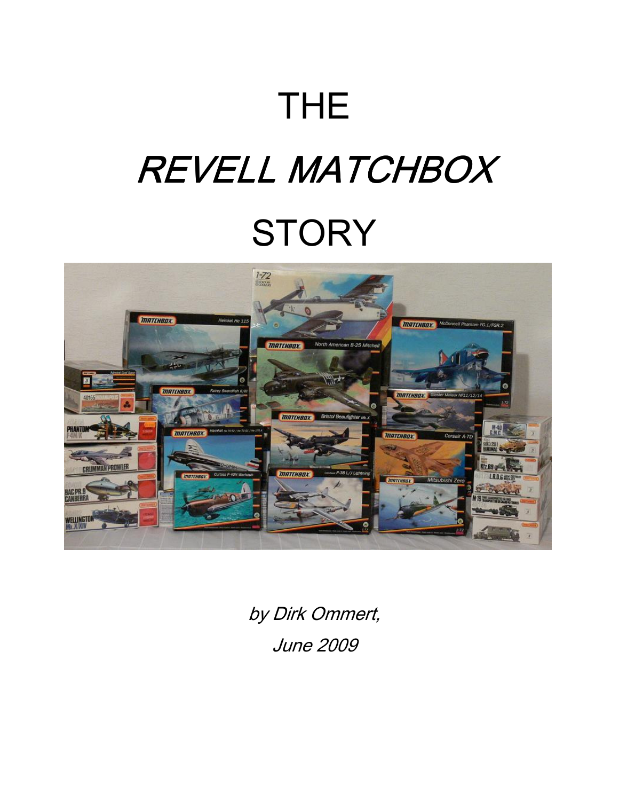## THE

# REVELL MATCHBOX **STORY**



by Dirk Ommert, June 2009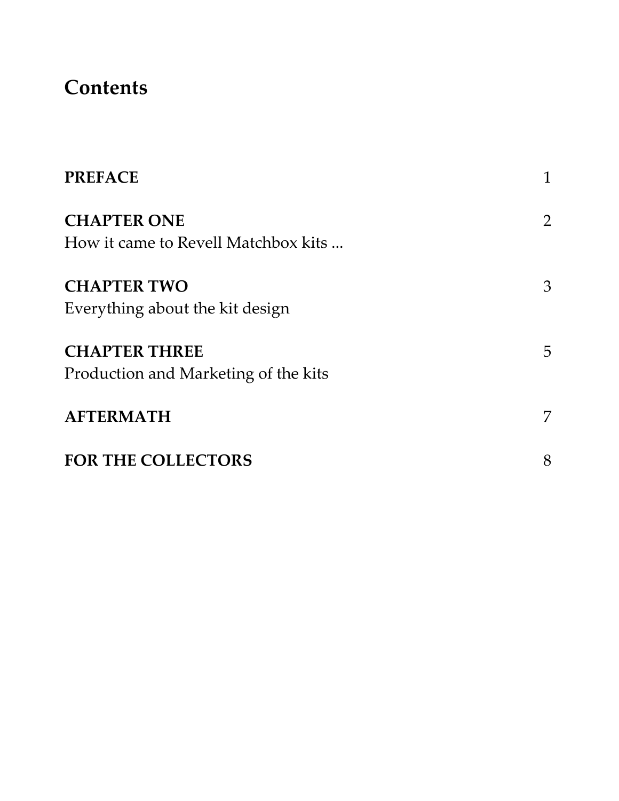## **Contents**

| <b>PREFACE</b>                                               | 1              |
|--------------------------------------------------------------|----------------|
| <b>CHAPTER ONE</b><br>How it came to Revell Matchbox kits    | $\overline{2}$ |
| <b>CHAPTER TWO</b><br>Everything about the kit design        | 3              |
| <b>CHAPTER THREE</b><br>Production and Marketing of the kits | 5              |
| <b>AFTERMATH</b>                                             | 7              |
| <b>FOR THE COLLECTORS</b>                                    | 8              |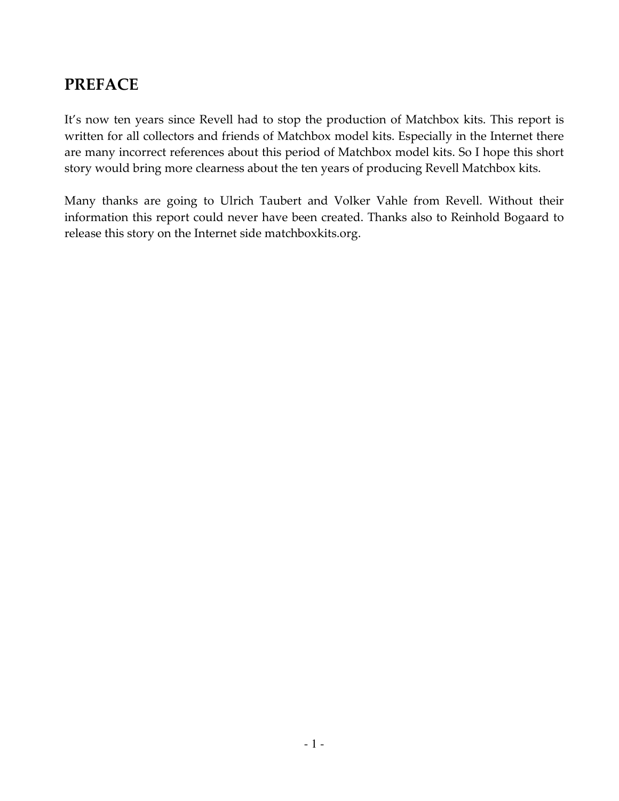## PREFACE

It's now ten years since Revell had to stop the production of Matchbox kits. This report is written for all collectors and friends of Matchbox model kits. Especially in the Internet there are many incorrect references about this period of Matchbox model kits. So I hope this short story would bring more clearness about the ten years of producing Revell Matchbox kits.

Many thanks are going to Ulrich Taubert and Volker Vahle from Revell. Without their information this report could never have been created. Thanks also to Reinhold Bogaard to release this story on the Internet side matchboxkits.org.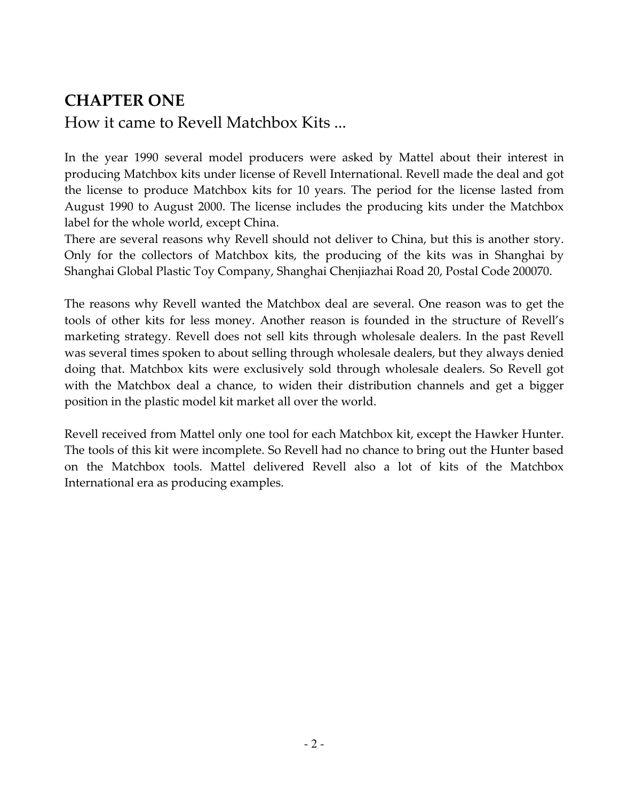## CHAPTER ONE

How it came to Revell Matchbox Kits ...

In the year 1990 several model producers were asked by Mattel about their interest in producing Matchbox kits under license of Revell International. Revell made the deal and got the license to produce Matchbox kits for 10 years. The period for the license lasted from August 1990 to August 2000. The license includes the producing kits under the Matchbox label for the whole world, except China.

There are several reasons why Revell should not deliver to China, but this is another story. Only for the collectors of Matchbox kits, the producing of the kits was in Shanghai by Shanghai Global Plastic Toy Company, Shanghai Chenjiazhai Road 20, Postal Code 200070.

The reasons why Revell wanted the Matchbox deal are several. One reason was to get the tools of other kits for less money. Another reason is founded in the structure of Revell's marketing strategy. Revell does not sell kits through wholesale dealers. In the past Revell was several times spoken to about selling through wholesale dealers, but they always denied doing that. Matchbox kits were exclusively sold through wholesale dealers. So Revell got with the Matchbox deal a chance, to widen their distribution channels and get a bigger position in the plastic model kit market all over the world.

Revell received from Mattel only one tool for each Matchbox kit, except the Hawker Hunter. The tools of this kit were incomplete. So Revell had no chance to bring out the Hunter based on the Matchbox tools. Mattel delivered Revell also a lot of kits of the Matchbox International era as producing examples.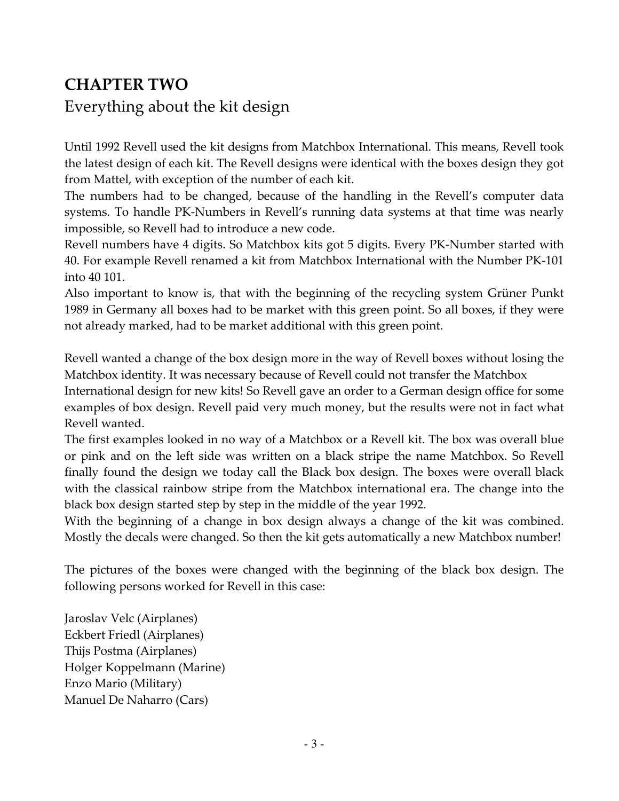## CHAPTER TWO

## Everything about the kit design

Until 1992 Revell used the kit designs from Matchbox International. This means, Revell took the latest design of each kit. The Revell designs were identical with the boxes design they got from Mattel, with exception of the number of each kit.

The numbers had to be changed, because of the handling in the Revell's computer data systems. To handle PK-Numbers in Revell's running data systems at that time was nearly impossible, so Revell had to introduce a new code.

Revell numbers have 4 digits. So Matchbox kits got 5 digits. Every PK-Number started with 40. For example Revell renamed a kit from Matchbox International with the Number PK-101 into 40 101.

Also important to know is, that with the beginning of the recycling system Grüner Punkt 1989 in Germany all boxes had to be market with this green point. So all boxes, if they were not already marked, had to be market additional with this green point.

Revell wanted a change of the box design more in the way of Revell boxes without losing the Matchbox identity. It was necessary because of Revell could not transfer the Matchbox

International design for new kits! So Revell gave an order to a German design office for some examples of box design. Revell paid very much money, but the results were not in fact what Revell wanted.

The first examples looked in no way of a Matchbox or a Revell kit. The box was overall blue or pink and on the left side was written on a black stripe the name Matchbox. So Revell finally found the design we today call the Black box design. The boxes were overall black with the classical rainbow stripe from the Matchbox international era. The change into the black box design started step by step in the middle of the year 1992.

With the beginning of a change in box design always a change of the kit was combined. Mostly the decals were changed. So then the kit gets automatically a new Matchbox number!

The pictures of the boxes were changed with the beginning of the black box design. The following persons worked for Revell in this case:

Jaroslav Velc (Airplanes) Eckbert Friedl (Airplanes) Thijs Postma (Airplanes) Holger Koppelmann (Marine) Enzo Mario (Military) Manuel De Naharro (Cars)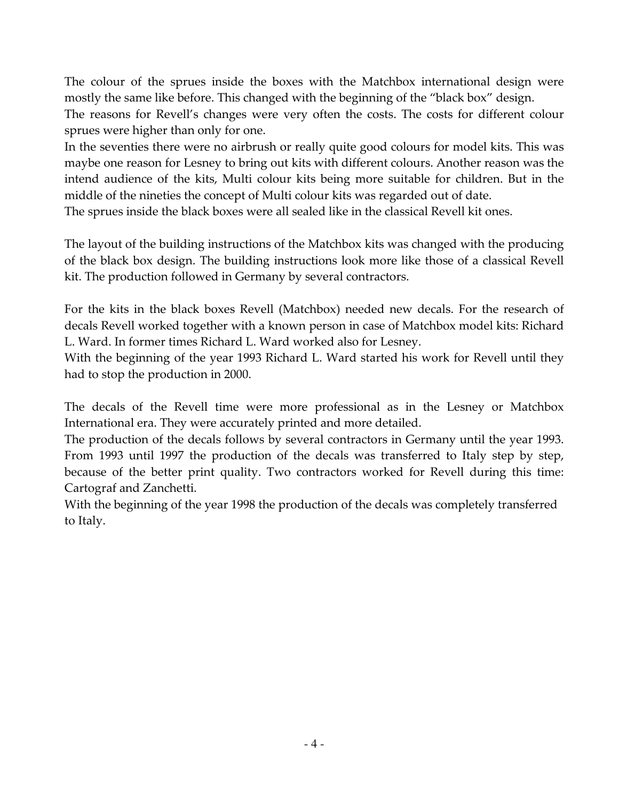The colour of the sprues inside the boxes with the Matchbox international design were mostly the same like before. This changed with the beginning of the "black box" design.

The reasons for Revell's changes were very often the costs. The costs for different colour sprues were higher than only for one.

In the seventies there were no airbrush or really quite good colours for model kits. This was maybe one reason for Lesney to bring out kits with different colours. Another reason was the intend audience of the kits, Multi colour kits being more suitable for children. But in the middle of the nineties the concept of Multi colour kits was regarded out of date.

The sprues inside the black boxes were all sealed like in the classical Revell kit ones.

The layout of the building instructions of the Matchbox kits was changed with the producing of the black box design. The building instructions look more like those of a classical Revell kit. The production followed in Germany by several contractors.

For the kits in the black boxes Revell (Matchbox) needed new decals. For the research of decals Revell worked together with a known person in case of Matchbox model kits: Richard L. Ward. In former times Richard L. Ward worked also for Lesney.

With the beginning of the year 1993 Richard L. Ward started his work for Revell until they had to stop the production in 2000.

The decals of the Revell time were more professional as in the Lesney or Matchbox International era. They were accurately printed and more detailed.

The production of the decals follows by several contractors in Germany until the year 1993. From 1993 until 1997 the production of the decals was transferred to Italy step by step, because of the better print quality. Two contractors worked for Revell during this time: Cartograf and Zanchetti.

With the beginning of the year 1998 the production of the decals was completely transferred to Italy.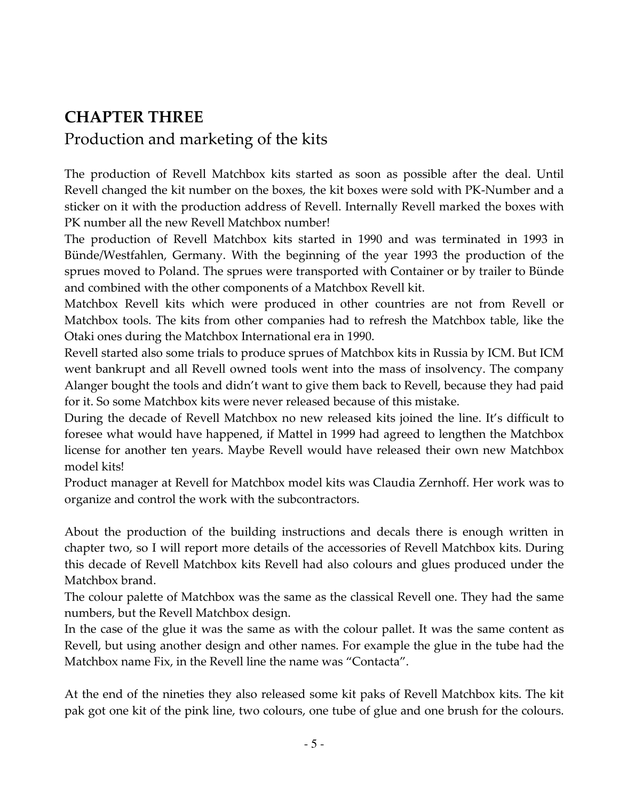## CHAPTER THREE

### Production and marketing of the kits

The production of Revell Matchbox kits started as soon as possible after the deal. Until Revell changed the kit number on the boxes, the kit boxes were sold with PK-Number and a sticker on it with the production address of Revell. Internally Revell marked the boxes with PK number all the new Revell Matchbox number!

The production of Revell Matchbox kits started in 1990 and was terminated in 1993 in Bünde/Westfahlen, Germany. With the beginning of the year 1993 the production of the sprues moved to Poland. The sprues were transported with Container or by trailer to Bünde and combined with the other components of a Matchbox Revell kit.

Matchbox Revell kits which were produced in other countries are not from Revell or Matchbox tools. The kits from other companies had to refresh the Matchbox table, like the Otaki ones during the Matchbox International era in 1990.

Revell started also some trials to produce sprues of Matchbox kits in Russia by ICM. But ICM went bankrupt and all Revell owned tools went into the mass of insolvency. The company Alanger bought the tools and didn't want to give them back to Revell, because they had paid for it. So some Matchbox kits were never released because of this mistake.

During the decade of Revell Matchbox no new released kits joined the line. It's difficult to foresee what would have happened, if Mattel in 1999 had agreed to lengthen the Matchbox license for another ten years. Maybe Revell would have released their own new Matchbox model kits!

Product manager at Revell for Matchbox model kits was Claudia Zernhoff. Her work was to organize and control the work with the subcontractors.

About the production of the building instructions and decals there is enough written in chapter two, so I will report more details of the accessories of Revell Matchbox kits. During this decade of Revell Matchbox kits Revell had also colours and glues produced under the Matchbox brand.

The colour palette of Matchbox was the same as the classical Revell one. They had the same numbers, but the Revell Matchbox design.

In the case of the glue it was the same as with the colour pallet. It was the same content as Revell, but using another design and other names. For example the glue in the tube had the Matchbox name Fix, in the Revell line the name was "Contacta".

At the end of the nineties they also released some kit paks of Revell Matchbox kits. The kit pak got one kit of the pink line, two colours, one tube of glue and one brush for the colours.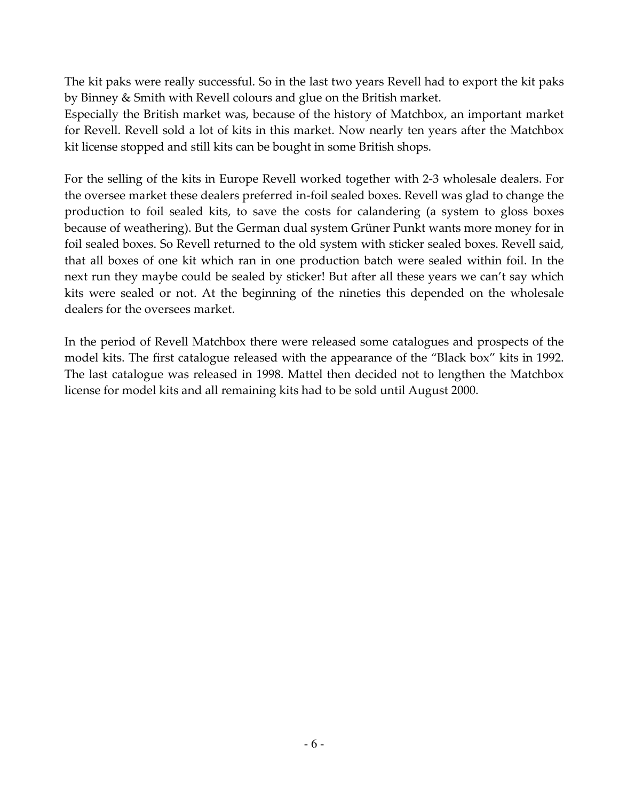The kit paks were really successful. So in the last two years Revell had to export the kit paks by Binney & Smith with Revell colours and glue on the British market.

Especially the British market was, because of the history of Matchbox, an important market for Revell. Revell sold a lot of kits in this market. Now nearly ten years after the Matchbox kit license stopped and still kits can be bought in some British shops.

For the selling of the kits in Europe Revell worked together with 2-3 wholesale dealers. For the oversee market these dealers preferred in-foil sealed boxes. Revell was glad to change the production to foil sealed kits, to save the costs for calandering (a system to gloss boxes because of weathering). But the German dual system Grüner Punkt wants more money for in foil sealed boxes. So Revell returned to the old system with sticker sealed boxes. Revell said, that all boxes of one kit which ran in one production batch were sealed within foil. In the next run they maybe could be sealed by sticker! But after all these years we can't say which kits were sealed or not. At the beginning of the nineties this depended on the wholesale dealers for the oversees market.

In the period of Revell Matchbox there were released some catalogues and prospects of the model kits. The first catalogue released with the appearance of the "Black box" kits in 1992. The last catalogue was released in 1998. Mattel then decided not to lengthen the Matchbox license for model kits and all remaining kits had to be sold until August 2000.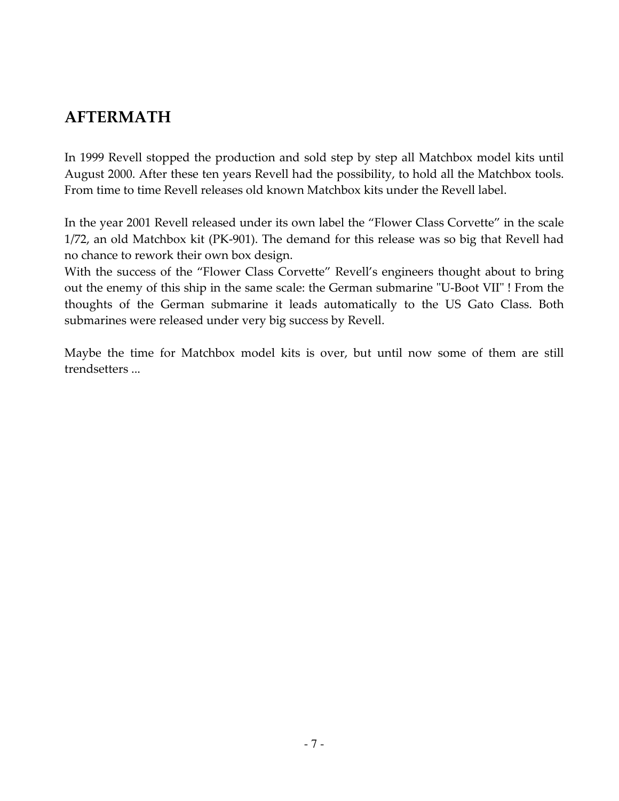## AFTERMATH

In 1999 Revell stopped the production and sold step by step all Matchbox model kits until August 2000. After these ten years Revell had the possibility, to hold all the Matchbox tools. From time to time Revell releases old known Matchbox kits under the Revell label.

In the year 2001 Revell released under its own label the "Flower Class Corvette" in the scale 1/72, an old Matchbox kit (PK-901). The demand for this release was so big that Revell had no chance to rework their own box design.

With the success of the "Flower Class Corvette" Revell's engineers thought about to bring out the enemy of this ship in the same scale: the German submarine "U-Boot VII" ! From the thoughts of the German submarine it leads automatically to the US Gato Class. Both submarines were released under very big success by Revell.

Maybe the time for Matchbox model kits is over, but until now some of them are still trendsetters ...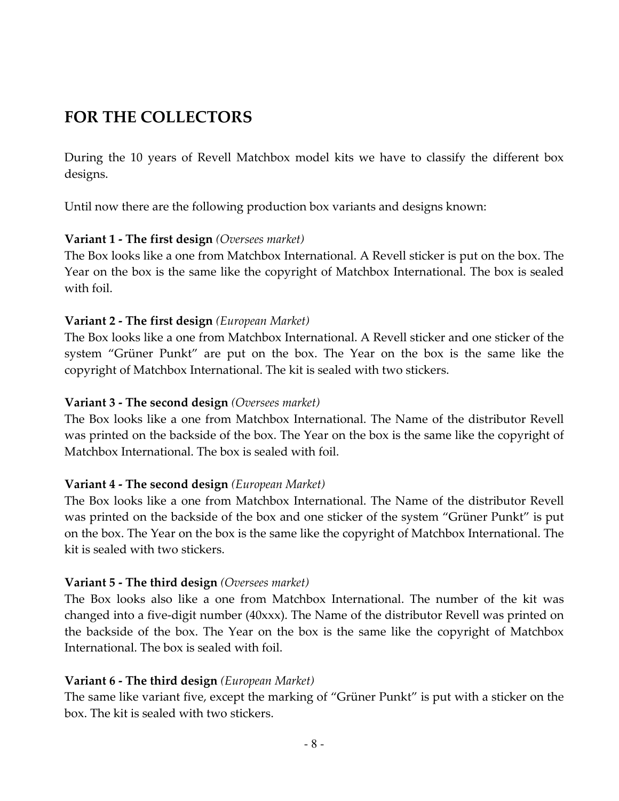## FOR THE COLLECTORS

During the 10 years of Revell Matchbox model kits we have to classify the different box designs.

Until now there are the following production box variants and designs known:

#### **Variant 1 - The first design** (Oversees market)

The Box looks like a one from Matchbox International. A Revell sticker is put on the box. The Year on the box is the same like the copyright of Matchbox International. The box is sealed with foil.

#### Variant 2 - The first design (European Market)

The Box looks like a one from Matchbox International. A Revell sticker and one sticker of the system "Grüner Punkt" are put on the box. The Year on the box is the same like the copyright of Matchbox International. The kit is sealed with two stickers.

#### Variant 3 - The second design (Oversees market)

The Box looks like a one from Matchbox International. The Name of the distributor Revell was printed on the backside of the box. The Year on the box is the same like the copyright of Matchbox International. The box is sealed with foil.

#### Variant 4 - The second design (European Market)

The Box looks like a one from Matchbox International. The Name of the distributor Revell was printed on the backside of the box and one sticker of the system "Grüner Punkt" is put on the box. The Year on the box is the same like the copyright of Matchbox International. The kit is sealed with two stickers.

#### Variant 5 - The third design (Oversees market)

The Box looks also like a one from Matchbox International. The number of the kit was changed into a five-digit number (40xxx). The Name of the distributor Revell was printed on the backside of the box. The Year on the box is the same like the copyright of Matchbox International. The box is sealed with foil.

#### Variant 6 - The third design (European Market)

The same like variant five, except the marking of "Grüner Punkt" is put with a sticker on the box. The kit is sealed with two stickers.